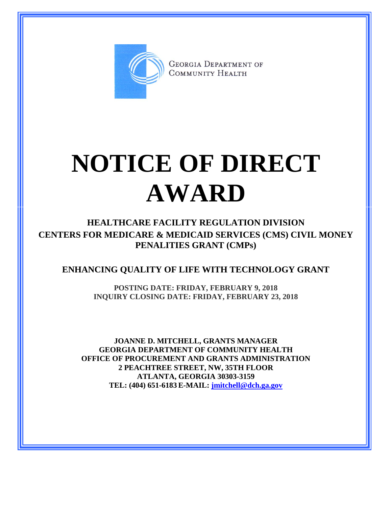

**GEORGIA DEPARTMENT OF** COMMUNITY HEALTH

## **NOTICE OF DIRECT AWARD**

**HEALTHCARE FACILITY REGULATION DIVISION CENTERS FOR MEDICARE & MEDICAID SERVICES (CMS) CIVIL MONEY PENALITIES GRANT (CMPs)**

## **ENHANCING QUALITY OF LIFE WITH TECHNOLOGY GRANT**

**POSTING DATE: FRIDAY, FEBRUARY 9, 2018 INQUIRY CLOSING DATE: FRIDAY, FEBRUARY 23, 2018**

**JOANNE D. MITCHELL, GRANTS MANAGER GEORGIA DEPARTMENT OF COMMUNITY HEALTH OFFICE OF PROCUREMENT AND GRANTS ADMINISTRATION 2 PEACHTREE STREET, NW, 35TH FLOOR ATLANTA, GEORGIA 30303-3159 TEL: (404) 651-6183 E-MAIL: [jmitchell@dch.ga.gov](mailto:awatson@dch.ga.gov)**